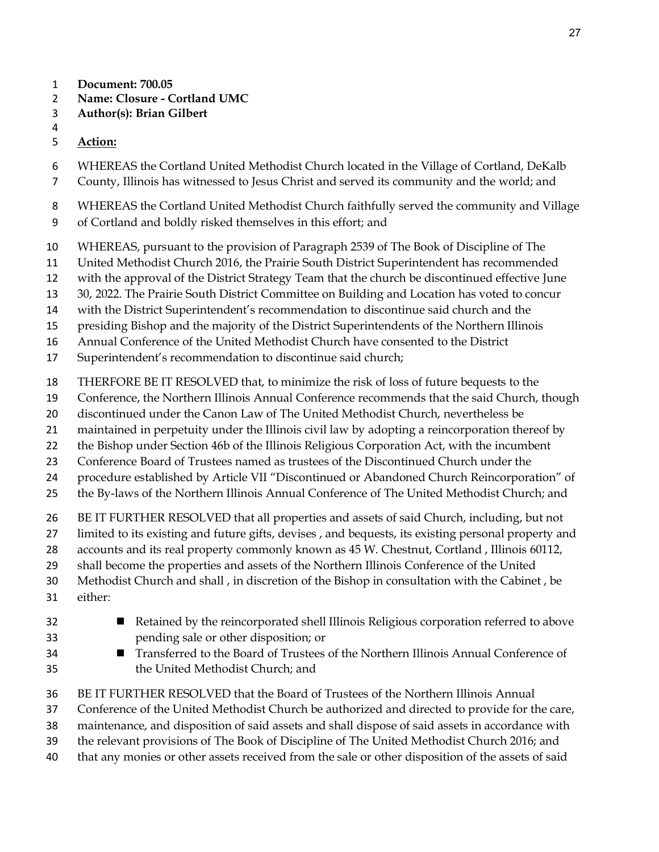- **Document: 700.05**
- **Name: Closure Cortland UMC**
- **Author(s): Brian Gilbert**
- 
- **Action:**
- WHEREAS the Cortland United Methodist Church located in the Village of Cortland, DeKalb
- County, Illinois has witnessed to Jesus Christ and served its community and the world; and
- WHEREAS the Cortland United Methodist Church faithfully served the community and Village
- of Cortland and boldly risked themselves in this effort; and
- WHEREAS, pursuant to the provision of Paragraph 2539 of The Book of Discipline of The
- United Methodist Church 2016, the Prairie South District Superintendent has recommended
- with the approval of the District Strategy Team that the church be discontinued effective June
- 30, 2022. The Prairie South District Committee on Building and Location has voted to concur
- with the District Superintendent's recommendation to discontinue said church and the
- presiding Bishop and the majority of the District Superintendents of the Northern Illinois
- Annual Conference of the United Methodist Church have consented to the District
- Superintendent's recommendation to discontinue said church;
- THERFORE BE IT RESOLVED that, to minimize the risk of loss of future bequests to the
- Conference, the Northern Illinois Annual Conference recommends that the said Church, though
- discontinued under the Canon Law of The United Methodist Church, nevertheless be
- maintained in perpetuity under the Illinois civil law by adopting a reincorporation thereof by
- the Bishop under Section 46b of the Illinois Religious Corporation Act, with the incumbent
- Conference Board of Trustees named as trustees of the Discontinued Church under the
- procedure established by Article VII "Discontinued or Abandoned Church Reincorporation" of
- the By-laws of the Northern Illinois Annual Conference of The United Methodist Church; and
- BE IT FURTHER RESOLVED that all properties and assets of said Church, including, but not
- limited to its existing and future gifts, devises , and bequests, its existing personal property and
- 28 accounts and its real property commonly known as 45 W. Chestnut, Cortland, Illinois 60112,
- shall become the properties and assets of the Northern Illinois Conference of the United
- Methodist Church and shall , in discretion of the Bishop in consultation with the Cabinet , be
- either:
- Retained by the reincorporated shell Illinois Religious corporation referred to above pending sale or other disposition; or
- Transferred to the Board of Trustees of the Northern Illinois Annual Conference of the United Methodist Church; and
- BE IT FURTHER RESOLVED that the Board of Trustees of the Northern Illinois Annual
- Conference of the United Methodist Church be authorized and directed to provide for the care,
- maintenance, and disposition of said assets and shall dispose of said assets in accordance with
- the relevant provisions of The Book of Discipline of The United Methodist Church 2016; and
- that any monies or other assets received from the sale or other disposition of the assets of said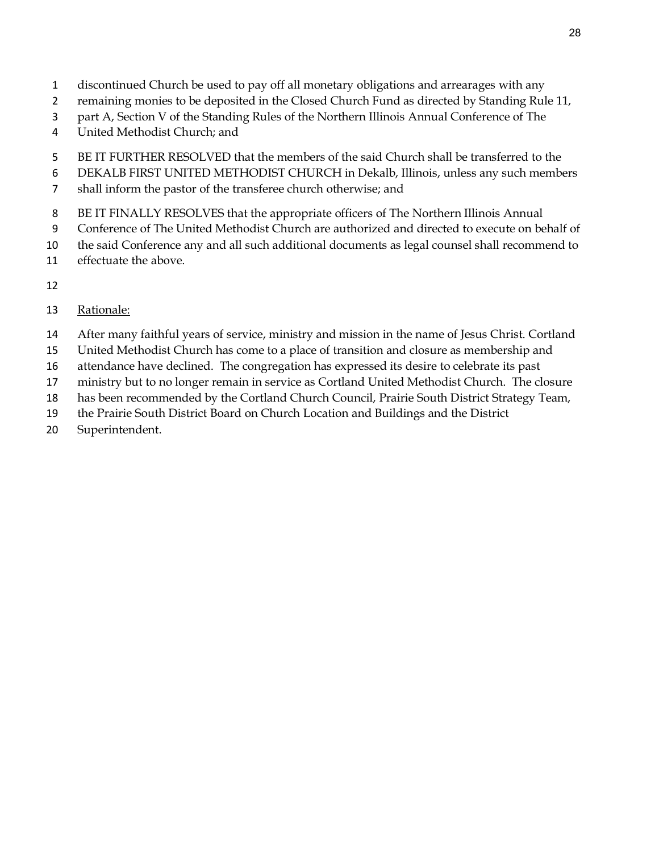- discontinued Church be used to pay off all monetary obligations and arrearages with any
- remaining monies to be deposited in the Closed Church Fund as directed by Standing Rule 11,
- part A, Section V of the Standing Rules of the Northern Illinois Annual Conference of The
- United Methodist Church; and
- BE IT FURTHER RESOLVED that the members of the said Church shall be transferred to the
- DEKALB FIRST UNITED METHODIST CHURCH in Dekalb, Illinois, unless any such members
- shall inform the pastor of the transferee church otherwise; and
- BE IT FINALLY RESOLVES that the appropriate officers of The Northern Illinois Annual
- Conference of The United Methodist Church are authorized and directed to execute on behalf of
- the said Conference any and all such additional documents as legal counsel shall recommend to
- effectuate the above.
- 
- Rationale:
- After many faithful years of service, ministry and mission in the name of Jesus Christ. Cortland
- United Methodist Church has come to a place of transition and closure as membership and
- attendance have declined. The congregation has expressed its desire to celebrate its past
- ministry but to no longer remain in service as Cortland United Methodist Church. The closure
- has been recommended by the Cortland Church Council, Prairie South District Strategy Team,
- the Prairie South District Board on Church Location and Buildings and the District
- Superintendent.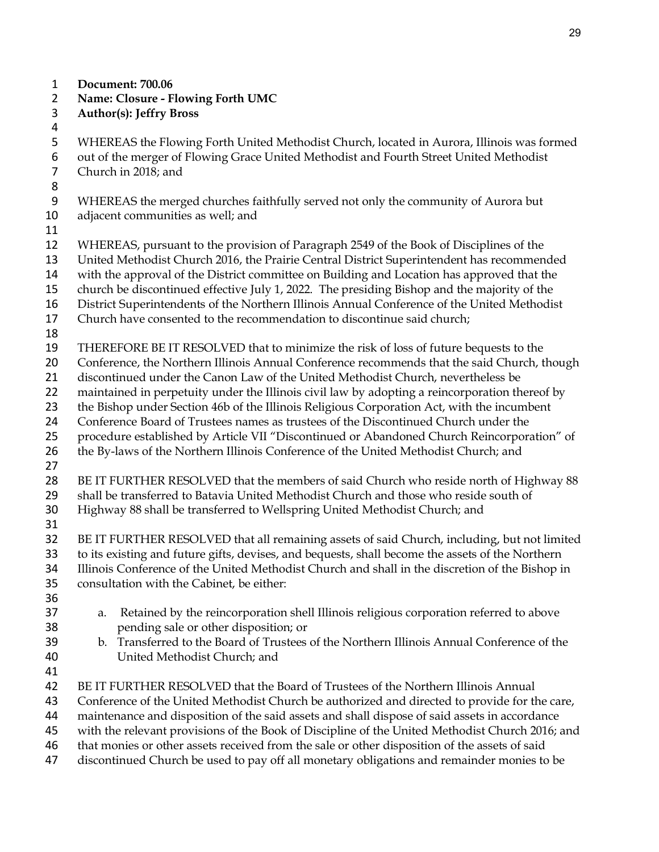- **Document: 700.06**
- **Name: Closure Flowing Forth UMC**
- **Author(s): Jeffry Bross**
- 
- WHEREAS the Flowing Forth United Methodist Church, located in Aurora, Illinois was formed
- out of the merger of Flowing Grace United Methodist and Fourth Street United Methodist Church in 2018; and
- 
- WHEREAS the merged churches faithfully served not only the community of Aurora but
	- adjacent communities as well; and
	-
	- WHEREAS, pursuant to the provision of Paragraph 2549 of the Book of Disciplines of the
	- United Methodist Church 2016, the Prairie Central District Superintendent has recommended
	- with the approval of the District committee on Building and Location has approved that the
	- church be discontinued effective July 1, 2022. The presiding Bishop and the majority of the
	- District Superintendents of the Northern Illinois Annual Conference of the United Methodist
	- Church have consented to the recommendation to discontinue said church;
	-
	- THEREFORE BE IT RESOLVED that to minimize the risk of loss of future bequests to the
	- 20 Conference, the Northern Illinois Annual Conference recommends that the said Church, though
	- discontinued under the Canon Law of the United Methodist Church, nevertheless be
	- maintained in perpetuity under the Illinois civil law by adopting a reincorporation thereof by
	- the Bishop under Section 46b of the Illinois Religious Corporation Act, with the incumbent
	- Conference Board of Trustees names as trustees of the Discontinued Church under the
	- procedure established by Article VII "Discontinued or Abandoned Church Reincorporation" of
	- the By-laws of the Northern Illinois Conference of the United Methodist Church; and
	-
	- BE IT FURTHER RESOLVED that the members of said Church who reside north of Highway 88
	- shall be transferred to Batavia United Methodist Church and those who reside south of
	- Highway 88 shall be transferred to Wellspring United Methodist Church; and
	-

BE IT FURTHER RESOLVED that all remaining assets of said Church, including, but not limited

- to its existing and future gifts, devises, and bequests, shall become the assets of the Northern Illinois Conference of the United Methodist Church and shall in the discretion of the Bishop in
- consultation with the Cabinet, be either:
- 
- a. Retained by the reincorporation shell Illinois religious corporation referred to above pending sale or other disposition; or
- b. Transferred to the Board of Trustees of the Northern Illinois Annual Conference of the United Methodist Church; and
- 
- BE IT FURTHER RESOLVED that the Board of Trustees of the Northern Illinois Annual
- Conference of the United Methodist Church be authorized and directed to provide for the care,
- maintenance and disposition of the said assets and shall dispose of said assets in accordance
- with the relevant provisions of the Book of Discipline of the United Methodist Church 2016; and
- that monies or other assets received from the sale or other disposition of the assets of said
- discontinued Church be used to pay off all monetary obligations and remainder monies to be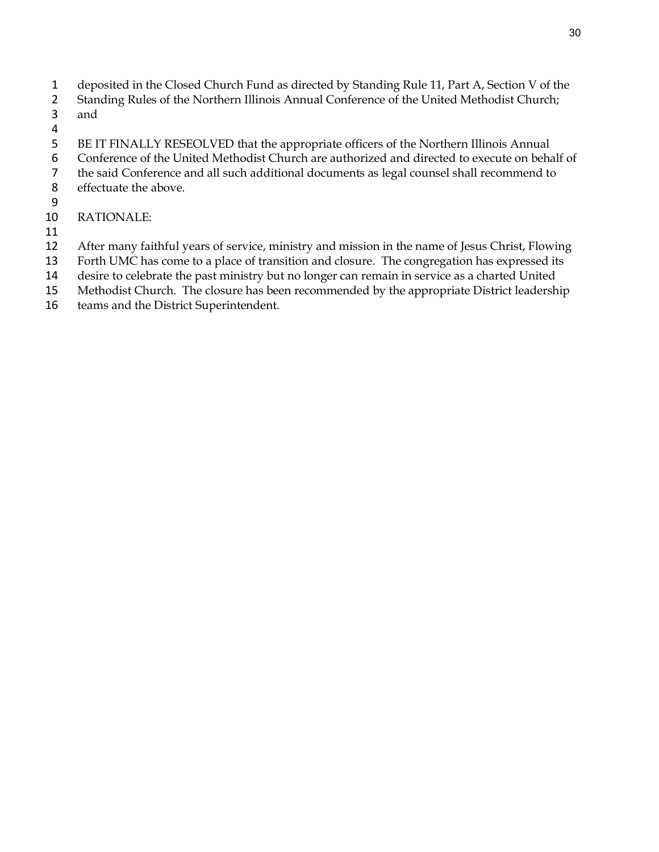- deposited in the Closed Church Fund as directed by Standing Rule 11, Part A, Section V of the
- Standing Rules of the Northern Illinois Annual Conference of the United Methodist Church; and
- 
- BE IT FINALLY RESEOLVED that the appropriate officers of the Northern Illinois Annual
- Conference of the United Methodist Church are authorized and directed to execute on behalf of
- the said Conference and all such additional documents as legal counsel shall recommend to
- effectuate the above.
- 
- RATIONALE:
- 
- After many faithful years of service, ministry and mission in the name of Jesus Christ, Flowing
- Forth UMC has come to a place of transition and closure. The congregation has expressed its
- desire to celebrate the past ministry but no longer can remain in service as a charted United
- Methodist Church. The closure has been recommended by the appropriate District leadership
- teams and the District Superintendent.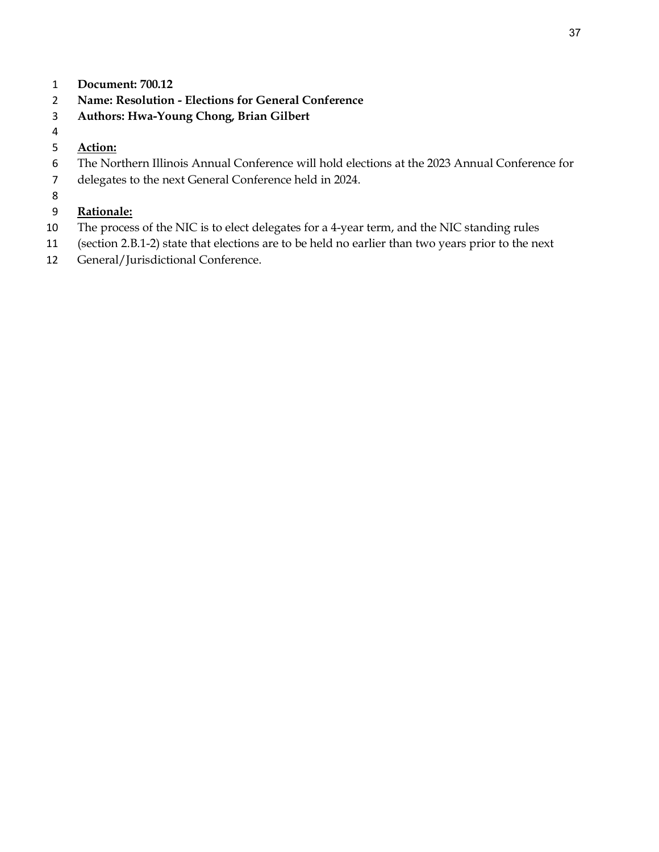- **Document: 700.12**
- **Name: Resolution Elections for General Conference**
- **Authors: Hwa-Young Chong, Brian Gilbert**
- 
- **Action:**
- The Northern Illinois Annual Conference will hold elections at the 2023 Annual Conference for
- delegates to the next General Conference held in 2024.
- 

## **Rationale:**

- The process of the NIC is to elect delegates for a 4-year term, and the NIC standing rules
- (section 2.B.1-2) state that elections are to be held no earlier than two years prior to the next
- General/Jurisdictional Conference.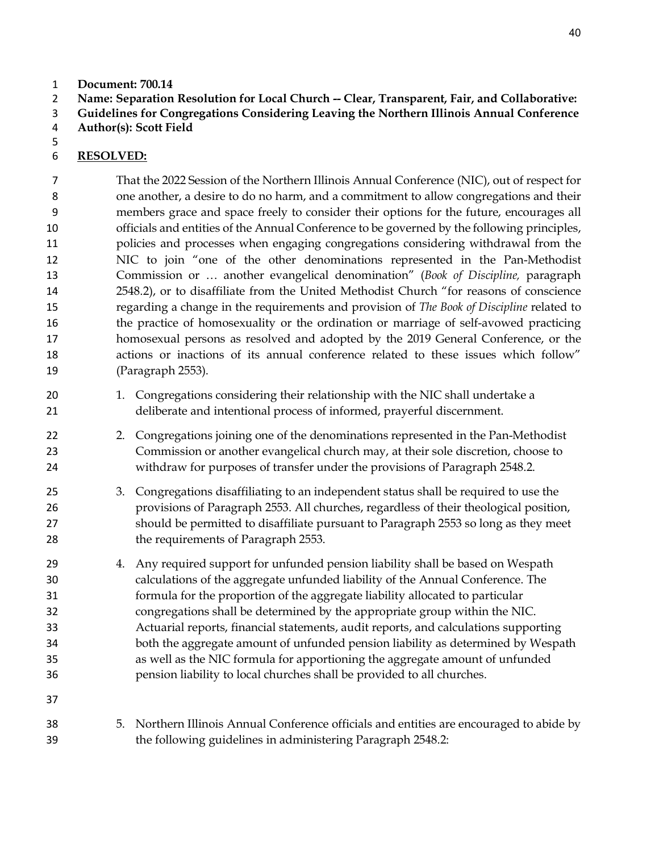- **Document: 700.14**
- **Name: Separation Resolution for Local Church -- Clear, Transparent, Fair, and Collaborative:**
- **Guidelines for Congregations Considering Leaving the Northern Illinois Annual Conference**
- **Author(s): Scott Field**

## **RESOLVED:**

That the 2022 Session of the Northern Illinois Annual Conference (NIC), out of respect for one another, a desire to do no harm, and a commitment to allow congregations and their members grace and space freely to consider their options for the future, encourages all officials and entities of the Annual Conference to be governed by the following principles, policies and processes when engaging congregations considering withdrawal from the NIC to join "one of the other denominations represented in the Pan-Methodist Commission or … another evangelical denomination" (*Book of Discipline,* paragraph 2548.2), or to disaffiliate from the United Methodist Church "for reasons of conscience regarding a change in the requirements and provision of *The Book of Discipline* related to the practice of homosexuality or the ordination or marriage of self-avowed practicing homosexual persons as resolved and adopted by the 2019 General Conference, or the actions or inactions of its annual conference related to these issues which follow" (Paragraph 2553).

- 1. Congregations considering their relationship with the NIC shall undertake a deliberate and intentional process of informed, prayerful discernment.
- 2. Congregations joining one of the denominations represented in the Pan-Methodist Commission or another evangelical church may, at their sole discretion, choose to withdraw for purposes of transfer under the provisions of Paragraph 2548.2.
- 3. Congregations disaffiliating to an independent status shall be required to use the provisions of Paragraph 2553. All churches, regardless of their theological position, should be permitted to disaffiliate pursuant to Paragraph 2553 so long as they meet 28 the requirements of Paragraph 2553.

 4. Any required support for unfunded pension liability shall be based on Wespath calculations of the aggregate unfunded liability of the Annual Conference. The formula for the proportion of the aggregate liability allocated to particular congregations shall be determined by the appropriate group within the NIC. Actuarial reports, financial statements, audit reports, and calculations supporting both the aggregate amount of unfunded pension liability as determined by Wespath as well as the NIC formula for apportioning the aggregate amount of unfunded pension liability to local churches shall be provided to all churches.

- 
- 5. Northern Illinois Annual Conference officials and entities are encouraged to abide by the following guidelines in administering Paragraph 2548.2: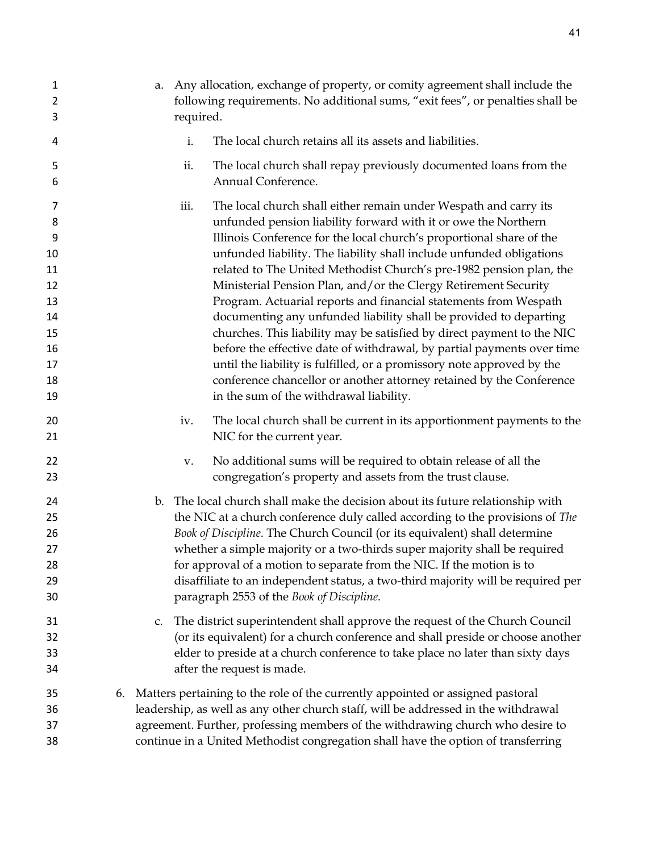| 1<br>2<br>3                                                             |    | a. Any allocation, exchange of property, or comity agreement shall include the<br>following requirements. No additional sums, "exit fees", or penalties shall be<br>required. |                                                                                                                                                                                                                                                                                                                                                                                                                                                                                                                                                                                                                                                                                                                                                                                                                                                                                                                        |
|-------------------------------------------------------------------------|----|-------------------------------------------------------------------------------------------------------------------------------------------------------------------------------|------------------------------------------------------------------------------------------------------------------------------------------------------------------------------------------------------------------------------------------------------------------------------------------------------------------------------------------------------------------------------------------------------------------------------------------------------------------------------------------------------------------------------------------------------------------------------------------------------------------------------------------------------------------------------------------------------------------------------------------------------------------------------------------------------------------------------------------------------------------------------------------------------------------------|
| 4                                                                       |    | i.                                                                                                                                                                            | The local church retains all its assets and liabilities.                                                                                                                                                                                                                                                                                                                                                                                                                                                                                                                                                                                                                                                                                                                                                                                                                                                               |
| 5<br>6                                                                  |    | ii.                                                                                                                                                                           | The local church shall repay previously documented loans from the<br>Annual Conference.                                                                                                                                                                                                                                                                                                                                                                                                                                                                                                                                                                                                                                                                                                                                                                                                                                |
| 7<br>8<br>9<br>10<br>11<br>12<br>13<br>14<br>15<br>16<br>17<br>18<br>19 |    | iii.                                                                                                                                                                          | The local church shall either remain under Wespath and carry its<br>unfunded pension liability forward with it or owe the Northern<br>Illinois Conference for the local church's proportional share of the<br>unfunded liability. The liability shall include unfunded obligations<br>related to The United Methodist Church's pre-1982 pension plan, the<br>Ministerial Pension Plan, and/or the Clergy Retirement Security<br>Program. Actuarial reports and financial statements from Wespath<br>documenting any unfunded liability shall be provided to departing<br>churches. This liability may be satisfied by direct payment to the NIC<br>before the effective date of withdrawal, by partial payments over time<br>until the liability is fulfilled, or a promissory note approved by the<br>conference chancellor or another attorney retained by the Conference<br>in the sum of the withdrawal liability. |
| 20<br>21                                                                |    | iv.                                                                                                                                                                           | The local church shall be current in its apportionment payments to the<br>NIC for the current year.                                                                                                                                                                                                                                                                                                                                                                                                                                                                                                                                                                                                                                                                                                                                                                                                                    |
| 22<br>23                                                                |    | v.                                                                                                                                                                            | No additional sums will be required to obtain release of all the<br>congregation's property and assets from the trust clause.                                                                                                                                                                                                                                                                                                                                                                                                                                                                                                                                                                                                                                                                                                                                                                                          |
| 24<br>25<br>26<br>27<br>28<br>29<br>30                                  |    |                                                                                                                                                                               | b. The local church shall make the decision about its future relationship with<br>the NIC at a church conference duly called according to the provisions of The<br>Book of Discipline. The Church Council (or its equivalent) shall determine<br>whether a simple majority or a two-thirds super majority shall be required<br>for approval of a motion to separate from the NIC. If the motion is to<br>disaffiliate to an independent status, a two-third majority will be required per<br>paragraph 2553 of the Book of Discipline.                                                                                                                                                                                                                                                                                                                                                                                 |
| 31<br>32<br>33<br>34                                                    |    | c.                                                                                                                                                                            | The district superintendent shall approve the request of the Church Council<br>(or its equivalent) for a church conference and shall preside or choose another<br>elder to preside at a church conference to take place no later than sixty days<br>after the request is made.                                                                                                                                                                                                                                                                                                                                                                                                                                                                                                                                                                                                                                         |
| 35<br>36<br>37                                                          | 6. |                                                                                                                                                                               | Matters pertaining to the role of the currently appointed or assigned pastoral<br>leadership, as well as any other church staff, will be addressed in the withdrawal<br>agreement. Further, professing members of the withdrawing church who desire to                                                                                                                                                                                                                                                                                                                                                                                                                                                                                                                                                                                                                                                                 |

continue in a United Methodist congregation shall have the option of transferring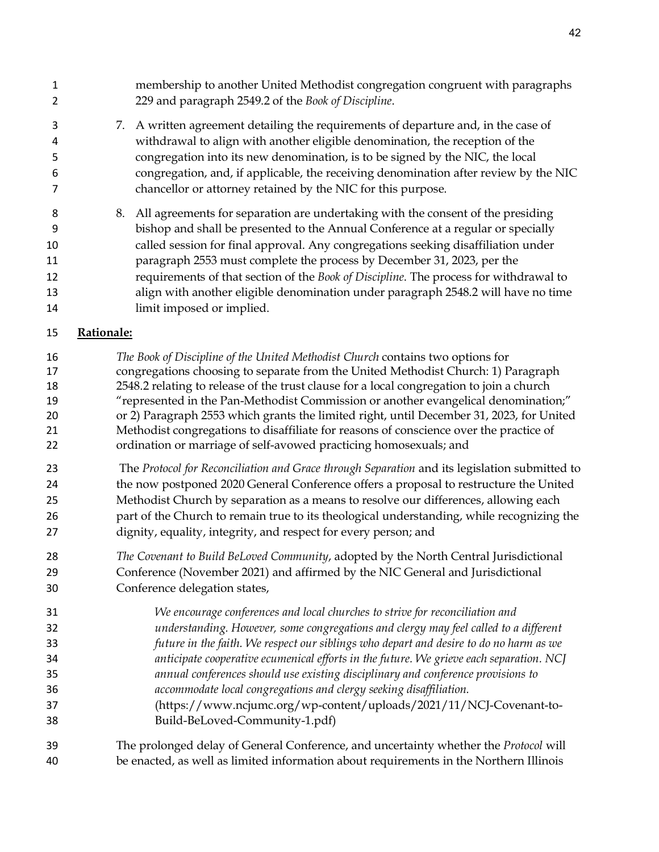| 1<br>$\overline{2}$                          |            | membership to another United Methodist congregation congruent with paragraphs<br>229 and paragraph 2549.2 of the Book of Discipline.                                                                                                                                                                                                                                                                                                                                                                                                                                                                                         |
|----------------------------------------------|------------|------------------------------------------------------------------------------------------------------------------------------------------------------------------------------------------------------------------------------------------------------------------------------------------------------------------------------------------------------------------------------------------------------------------------------------------------------------------------------------------------------------------------------------------------------------------------------------------------------------------------------|
| 3<br>4<br>5<br>6<br>7                        |            | 7. A written agreement detailing the requirements of departure and, in the case of<br>withdrawal to align with another eligible denomination, the reception of the<br>congregation into its new denomination, is to be signed by the NIC, the local<br>congregation, and, if applicable, the receiving denomination after review by the NIC<br>chancellor or attorney retained by the NIC for this purpose.                                                                                                                                                                                                                  |
| 8<br>9<br>10<br>11<br>12<br>13<br>14         | 8.         | All agreements for separation are undertaking with the consent of the presiding<br>bishop and shall be presented to the Annual Conference at a regular or specially<br>called session for final approval. Any congregations seeking disaffiliation under<br>paragraph 2553 must complete the process by December 31, 2023, per the<br>requirements of that section of the Book of Discipline. The process for withdrawal to<br>align with another eligible denomination under paragraph 2548.2 will have no time<br>limit imposed or implied.                                                                                |
| 15                                           | Rationale: |                                                                                                                                                                                                                                                                                                                                                                                                                                                                                                                                                                                                                              |
| 16<br>17<br>18<br>19<br>20<br>21<br>22       |            | The Book of Discipline of the United Methodist Church contains two options for<br>congregations choosing to separate from the United Methodist Church: 1) Paragraph<br>2548.2 relating to release of the trust clause for a local congregation to join a church<br>"represented in the Pan-Methodist Commission or another evangelical denomination;"<br>or 2) Paragraph 2553 which grants the limited right, until December 31, 2023, for United<br>Methodist congregations to disaffiliate for reasons of conscience over the practice of<br>ordination or marriage of self-avowed practicing homosexuals; and             |
| 23<br>24<br>25<br>26<br>27                   |            | The Protocol for Reconciliation and Grace through Separation and its legislation submitted to<br>the now postponed 2020 General Conference offers a proposal to restructure the United<br>Methodist Church by separation as a means to resolve our differences, allowing each<br>part of the Church to remain true to its theological understanding, while recognizing the<br>dignity, equality, integrity, and respect for every person; and                                                                                                                                                                                |
| 28<br>29<br>30                               |            | The Covenant to Build BeLoved Community, adopted by the North Central Jurisdictional<br>Conference (November 2021) and affirmed by the NIC General and Jurisdictional<br>Conference delegation states,                                                                                                                                                                                                                                                                                                                                                                                                                       |
| 31<br>32<br>33<br>34<br>35<br>36<br>37<br>38 |            | We encourage conferences and local churches to strive for reconciliation and<br>understanding. However, some congregations and clergy may feel called to a different<br>future in the faith. We respect our siblings who depart and desire to do no harm as we<br>anticipate cooperative ecumenical efforts in the future. We grieve each separation. NCJ<br>annual conferences should use existing disciplinary and conference provisions to<br>accommodate local congregations and clergy seeking disaffiliation.<br>(https://www.ncjumc.org/wp-content/uploads/2021/11/NCJ-Covenant-to-<br>Build-BeLoved-Community-1.pdf) |
| 39<br>40                                     |            | The prolonged delay of General Conference, and uncertainty whether the Protocol will<br>be enacted, as well as limited information about requirements in the Northern Illinois                                                                                                                                                                                                                                                                                                                                                                                                                                               |